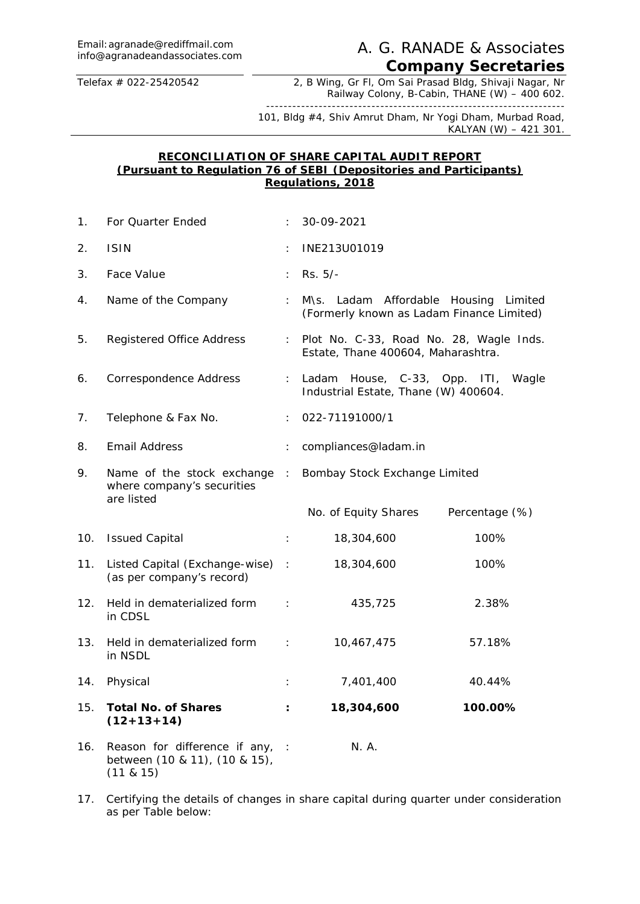## A. G. RANADE & Associates. *Company Secretaries*

Telefax # 022-25420542 2, B Wing, Gr Fl, Om Sai Prasad Bldg, Shivaji Nagar, Nr Railway Colony, B-Cabin, THANE (W) – 400 602. --------------------------------------------------------------------

101, Bldg #4, Shiv Amrut Dham, Nr Yogi Dham, Murbad Road, KALYAN (W) – 421 301.

#### **RECONCILIATION OF SHARE CAPITAL AUDIT REPORT (Pursuant to Regulation 76 of SEBI (Depositories and Participants) Regulations, 2018**

| 1.  | For Quarter Ended                                                                 |                      | 30-09-2021                                                                         |                |  |  |
|-----|-----------------------------------------------------------------------------------|----------------------|------------------------------------------------------------------------------------|----------------|--|--|
| 2.  | <b>ISIN</b>                                                                       |                      | INE213U01019                                                                       |                |  |  |
| 3.  | Face Value                                                                        | ÷.                   | Rs. 5/-                                                                            |                |  |  |
| 4.  | Name of the Company                                                               | ÷                    | M\s. Ladam Affordable Housing Limited<br>(Formerly known as Ladam Finance Limited) |                |  |  |
| 5.  | Registered Office Address                                                         | ÷.                   | Plot No. C-33, Road No. 28, Wagle Inds.<br>Estate, Thane 400604, Maharashtra.      |                |  |  |
| 6.  | Correspondence Address                                                            | ÷.                   | Ladam House, C-33, Opp. ITI, Wagle<br>Industrial Estate, Thane (W) 400604.         |                |  |  |
| 7.  | Telephone & Fax No.                                                               |                      | 022-71191000/1                                                                     |                |  |  |
| 8.  | Email Address                                                                     |                      | compliances@ladam.in                                                               |                |  |  |
| 9.  | Name of the stock exchange :<br>where company's securities<br>are listed          |                      | Bombay Stock Exchange Limited                                                      |                |  |  |
|     |                                                                                   |                      | No. of Equity Shares                                                               | Percentage (%) |  |  |
| 10. | <b>Issued Capital</b>                                                             | $\ddot{\phantom{a}}$ | 18,304,600                                                                         | 100%           |  |  |
| 11. | Listed Capital (Exchange-wise) :<br>(as per company's record)                     |                      | 18,304,600                                                                         | 100%           |  |  |
| 12. | Held in dematerialized form<br>in CDSL                                            | $\pm$                | 435,725                                                                            | 2.38%          |  |  |
| 13. | Held in dematerialized form :<br>in NSDL                                          |                      | 10,467,475                                                                         | 57.18%         |  |  |
| 14. | Physical                                                                          |                      | 7,401,400                                                                          | 40.44%         |  |  |
| 15. | Total No. of Shares<br>$(12+13+14)$                                               | ÷                    | 18,304,600                                                                         | 100.00%        |  |  |
| 16. | Reason for difference if any, :<br>between (10 & 11), (10 & 15),<br>(11 & 8 & 15) |                      | N. A.                                                                              |                |  |  |

17. Certifying the details of changes in share capital during quarter under consideration as per Table below: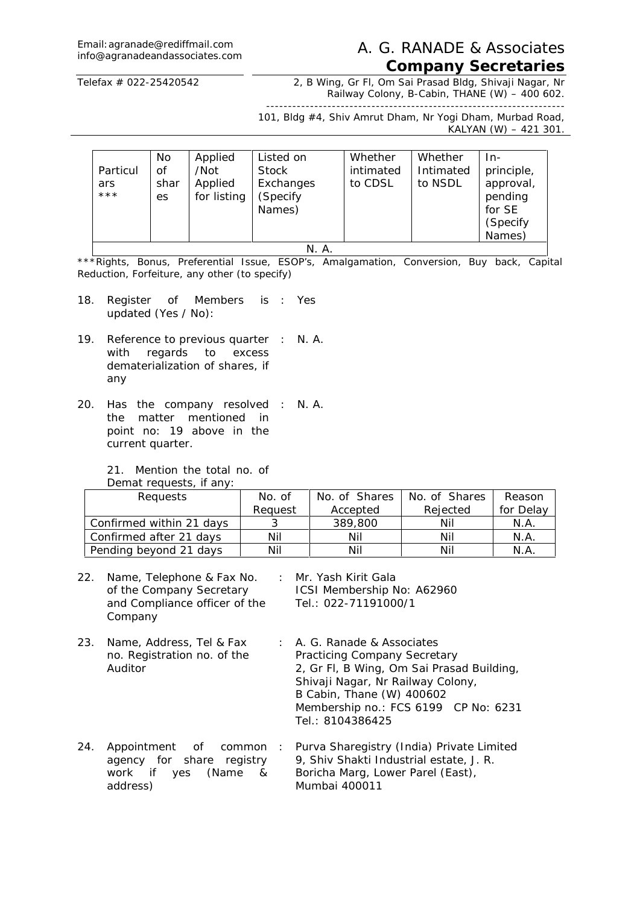# Email: agranade@rediffmail.com<br>info@agranadeandassociates.com

### A. G. RANADE & Associates. *Company Secretaries*

Telefax # 022-25420542 2, B Wing, Gr Fl, Om Sai Prasad Bldg, Shivaji Nagar, Nr Railway Colony, B-Cabin, THANE (W) - 400 602.

-------------------------------------------------------------------- 101, Bldg #4, Shiv Amrut Dham, Nr Yogi Dham, Murbad Road, KALYAN (W) – 421 301.

|                          | No.              | Applied                        | Listed on                                       | Whether              | Whether              | In-                                                                 |  |
|--------------------------|------------------|--------------------------------|-------------------------------------------------|----------------------|----------------------|---------------------------------------------------------------------|--|
| Particul<br>ars<br>$***$ | Οf<br>shar<br>es | /Not<br>Applied<br>for listing | <b>Stock</b><br>Exchanges<br>(Specify<br>Names) | intimated<br>to CDSL | Intimated<br>to NSDL | principle,<br>approval,<br>pending<br>for SE<br>(Specify)<br>Names) |  |
| N. A.                    |                  |                                |                                                 |                      |                      |                                                                     |  |

\*\*\*Rights, Bonus, Preferential Issue, ESOP's, Amalgamation, Conversion, Buy back, Capital Reduction, Forfeiture, any other (to specify)

- 18. Register of Members is : Yes updated (Yes / No):
- 19. Reference to previous quarter : N. A. with regards to excess dematerialization of shares, if any
- 20. Has the company resolved : N. A.the matter mentioned in point no: 19 above in the current quarter.

21. Mention the total no. of Demat requests, if any

| Defilat reguests, if any. |         |               |               |           |
|---------------------------|---------|---------------|---------------|-----------|
| Requests                  | No. of  | No. of Shares | No. of Shares | Reason    |
|                           | Reauest | Accepted      | Rejected      | for Delay |
| Confirmed within 21 days  |         | 389,800       | Nil           | N.A.      |
| Confirmed after 21 days   | Nil     | Nil           | Nil           | N.A.      |
| Pending beyond 21 days    | Nil     | Nil           | Nil           | N.A.      |

- 22. Name, Telephone & Fax No. : Mr. Yash Kirit Gala of the Company Secretary and Compliance officer of the **Company** ICSI Membership No: A62960 Tel.: 022-71191000/1
- 23. Name, Address, Tel & Fax no. Registration no. of the Auditor : A. G. Ranade & Associates Practicing Company Secretary 2, Gr Fl, B Wing, Om Sai Prasad Building, Shivaji Nagar, Nr Railway Colony, B Cabin, Thane (W) 400602 Membership no.: FCS 6199 CP No: 6231 Tel.: 8104386425
- 24. Appointment of common agency for share registry work if yes (Name & address) : Purva Sharegistry (India) Private Limited 9, Shiv Shakti Industrial estate, J. R. Boricha Marg, Lower Parel (East), Mumbai 400011